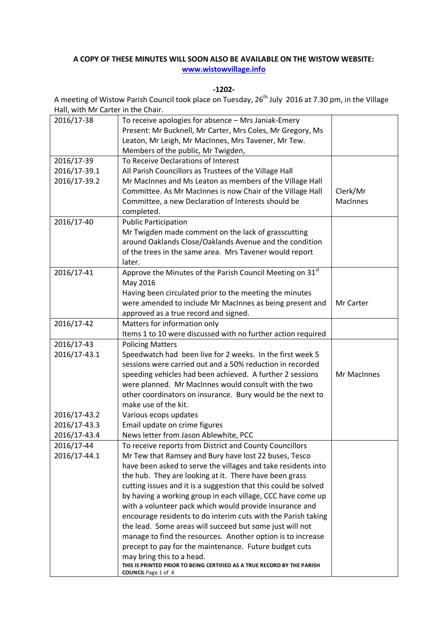## **A COPY OF THESE MINUTES WILL SOON ALSO BE AVAILABLE ON THE WISTOW WEBSITE: [www.wistowvillage.info](http://www.wistowvillage.info/)**

**-1202-**

A meeting of Wistow Parish Council took place on Tuesday, 26<sup>th</sup> July 2016 at 7.30 pm, in the Village Hall, with Mr Carter in the Chair.

| 2016/17-38                 | To receive apologies for absence - Mrs Janiak-Emery                                                                    |                 |
|----------------------------|------------------------------------------------------------------------------------------------------------------------|-----------------|
|                            | Present: Mr Bucknell, Mr Carter, Mrs Coles, Mr Gregory, Ms                                                             |                 |
|                            | Leaton, Mr Leigh, Mr MacInnes, Mrs Tavener, Mr Tew.                                                                    |                 |
|                            | Members of the public, Mr Twigden,                                                                                     |                 |
| 2016/17-39                 | To Receive Declarations of Interest                                                                                    |                 |
| 2016/17-39.1               | All Parish Councillors as Trustees of the Village Hall                                                                 |                 |
| 2016/17-39.2               | Mr MacInnes and Ms Leaton as members of the Village Hall                                                               |                 |
|                            | Committee. As Mr MacInnes is now Chair of the Village Hall                                                             | Clerk/Mr        |
|                            | Committee, a new Declaration of Interests should be                                                                    | <b>MacInnes</b> |
|                            | completed.                                                                                                             |                 |
| 2016/17-40                 | <b>Public Participation</b>                                                                                            |                 |
|                            | Mr Twigden made comment on the lack of grasscutting                                                                    |                 |
|                            | around Oaklands Close/Oaklands Avenue and the condition                                                                |                 |
|                            | of the trees in the same area. Mrs Tavener would report                                                                |                 |
|                            | later.                                                                                                                 |                 |
| 2016/17-41                 | Approve the Minutes of the Parish Council Meeting on 31st                                                              |                 |
|                            | May 2016                                                                                                               |                 |
|                            | Having been circulated prior to the meeting the minutes                                                                |                 |
|                            | were amended to include Mr MacInnes as being present and                                                               | Mr Carter       |
|                            | approved as a true record and signed.                                                                                  |                 |
| 2016/17-42                 | Matters for information only                                                                                           |                 |
|                            | Items 1 to 10 were discussed with no further action required                                                           |                 |
| 2016/17-43                 | <b>Policing Matters</b>                                                                                                |                 |
| 2016/17-43.1               | Speedwatch had been live for 2 weeks. In the first week 5                                                              |                 |
|                            | sessions were carried out and a 50% reduction in recorded                                                              |                 |
|                            | speeding vehicles had been achieved. A further 2 sessions                                                              | Mr MacInnes     |
|                            | were planned. Mr MacInnes would consult with the two                                                                   |                 |
|                            | other coordinators on insurance. Bury would be the next to                                                             |                 |
|                            | make use of the kit.                                                                                                   |                 |
| 2016/17-43.2               | Various ecops updates                                                                                                  |                 |
| 2016/17-43.3               | Email update on crime figures                                                                                          |                 |
| 2016/17-43.4<br>2016/17-44 | News letter from Jason Ablewhite, PCC                                                                                  |                 |
|                            | To receive reports from District and County Councillors                                                                |                 |
| 2016/17-44.1               | Mr Tew that Ramsey and Bury have lost 22 buses, Tesco<br>have been asked to serve the villages and take residents into |                 |
|                            | the hub. They are looking at it. There have been grass                                                                 |                 |
|                            | cutting issues and it is a suggestion that this could be solved                                                        |                 |
|                            | by having a working group in each village, CCC have come up                                                            |                 |
|                            | with a volunteer pack which would provide insurance and                                                                |                 |
|                            | encourage residents to do interim cuts with the Parish taking                                                          |                 |
|                            | the lead. Some areas will succeed but some just will not                                                               |                 |
|                            | manage to find the resources. Another option is to increase                                                            |                 |
|                            | precept to pay for the maintenance. Future budget cuts                                                                 |                 |
|                            | may bring this to a head.                                                                                              |                 |
|                            | THIS IS PRINTED PRIOR TO BEING CERTIFIED AS A TRUE RECORD BY THE PARISH<br><b>COUNCIL</b> Page 1 of 4                  |                 |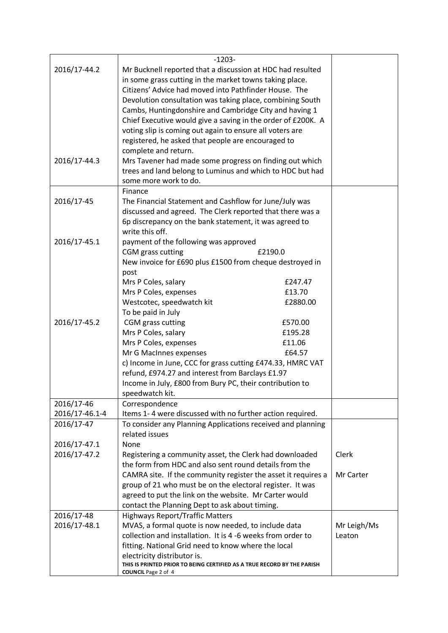|                                                             | $-1203-$                                                                                                              |             |  |  |  |  |
|-------------------------------------------------------------|-----------------------------------------------------------------------------------------------------------------------|-------------|--|--|--|--|
| 2016/17-44.2                                                |                                                                                                                       |             |  |  |  |  |
|                                                             | Mr Bucknell reported that a discussion at HDC had resulted<br>in some grass cutting in the market towns taking place. |             |  |  |  |  |
|                                                             | Citizens' Advice had moved into Pathfinder House. The                                                                 |             |  |  |  |  |
|                                                             | Devolution consultation was taking place, combining South                                                             |             |  |  |  |  |
|                                                             | Cambs, Huntingdonshire and Cambridge City and having 1                                                                |             |  |  |  |  |
|                                                             | Chief Executive would give a saving in the order of £200K. A                                                          |             |  |  |  |  |
|                                                             | voting slip is coming out again to ensure all voters are                                                              |             |  |  |  |  |
|                                                             | registered, he asked that people are encouraged to                                                                    |             |  |  |  |  |
|                                                             | complete and return.                                                                                                  |             |  |  |  |  |
| 2016/17-44.3                                                | Mrs Tavener had made some progress on finding out which                                                               |             |  |  |  |  |
|                                                             | trees and land belong to Luminus and which to HDC but had                                                             |             |  |  |  |  |
|                                                             |                                                                                                                       |             |  |  |  |  |
|                                                             | some more work to do.<br>Finance                                                                                      |             |  |  |  |  |
| 2016/17-45                                                  | The Financial Statement and Cashflow for June/July was                                                                |             |  |  |  |  |
|                                                             | discussed and agreed. The Clerk reported that there was a                                                             |             |  |  |  |  |
|                                                             |                                                                                                                       |             |  |  |  |  |
|                                                             | 6p discrepancy on the bank statement, it was agreed to<br>write this off.                                             |             |  |  |  |  |
| 2016/17-45.1                                                | payment of the following was approved                                                                                 |             |  |  |  |  |
|                                                             |                                                                                                                       |             |  |  |  |  |
|                                                             | CGM grass cutting<br>£2190.0<br>New invoice for £690 plus £1500 from cheque destroyed in                              |             |  |  |  |  |
|                                                             | post                                                                                                                  |             |  |  |  |  |
|                                                             | Mrs P Coles, salary<br>£247.47                                                                                        |             |  |  |  |  |
|                                                             | Mrs P Coles, expenses<br>£13.70                                                                                       |             |  |  |  |  |
|                                                             | Westcotec, speedwatch kit<br>£2880.00                                                                                 |             |  |  |  |  |
|                                                             | To be paid in July                                                                                                    |             |  |  |  |  |
| 2016/17-45.2                                                | CGM grass cutting<br>£570.00                                                                                          |             |  |  |  |  |
|                                                             | Mrs P Coles, salary<br>£195.28                                                                                        |             |  |  |  |  |
|                                                             | Mrs P Coles, expenses<br>£11.06                                                                                       |             |  |  |  |  |
|                                                             | Mr G MacInnes expenses<br>£64.57                                                                                      |             |  |  |  |  |
|                                                             | c) Income in June, CCC for grass cutting £474.33, HMRC VAT                                                            |             |  |  |  |  |
|                                                             | refund, £974.27 and interest from Barclays £1.97                                                                      |             |  |  |  |  |
|                                                             | Income in July, £800 from Bury PC, their contribution to                                                              |             |  |  |  |  |
|                                                             | speedwatch kit.                                                                                                       |             |  |  |  |  |
| 2016/17-46                                                  | Correspondence                                                                                                        |             |  |  |  |  |
| 2016/17-46.1-4                                              | Items 1-4 were discussed with no further action required.                                                             |             |  |  |  |  |
| 2016/17-47                                                  | To consider any Planning Applications received and planning                                                           |             |  |  |  |  |
|                                                             | related issues                                                                                                        |             |  |  |  |  |
| 2016/17-47.1                                                | None                                                                                                                  |             |  |  |  |  |
| 2016/17-47.2                                                | Registering a community asset, the Clerk had downloaded                                                               | Clerk       |  |  |  |  |
|                                                             | the form from HDC and also sent round details from the                                                                |             |  |  |  |  |
|                                                             | CAMRA site. If the community register the asset it requires a                                                         | Mr Carter   |  |  |  |  |
|                                                             | group of 21 who must be on the electoral register. It was                                                             |             |  |  |  |  |
|                                                             | agreed to put the link on the website. Mr Carter would                                                                |             |  |  |  |  |
|                                                             | contact the Planning Dept to ask about timing.                                                                        |             |  |  |  |  |
| 2016/17-48                                                  | <b>Highways Report/Traffic Matters</b>                                                                                |             |  |  |  |  |
| 2016/17-48.1                                                | MVAS, a formal quote is now needed, to include data                                                                   | Mr Leigh/Ms |  |  |  |  |
| collection and installation. It is 4 -6 weeks from order to |                                                                                                                       | Leaton      |  |  |  |  |
|                                                             | fitting. National Grid need to know where the local                                                                   |             |  |  |  |  |
|                                                             | electricity distributor is.                                                                                           |             |  |  |  |  |
|                                                             | THIS IS PRINTED PRIOR TO BEING CERTIFIED AS A TRUE RECORD BY THE PARISH<br><b>COUNCIL Page 2 of 4</b>                 |             |  |  |  |  |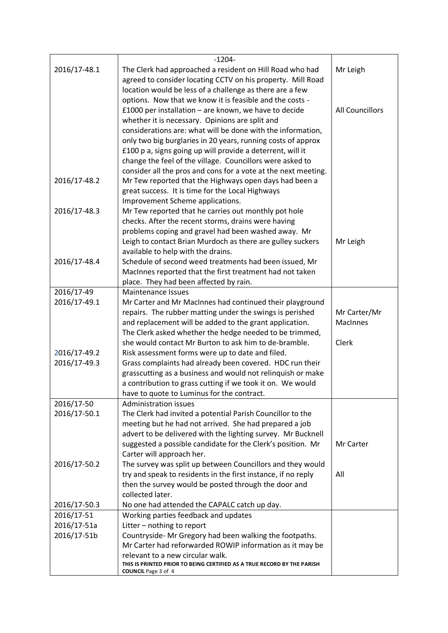|              | $-1204-$                                                                                                                    |                        |
|--------------|-----------------------------------------------------------------------------------------------------------------------------|------------------------|
| 2016/17-48.1 | The Clerk had approached a resident on Hill Road who had                                                                    | Mr Leigh               |
|              | agreed to consider locating CCTV on his property. Mill Road                                                                 |                        |
|              | location would be less of a challenge as there are a few                                                                    |                        |
|              | options. Now that we know it is feasible and the costs -                                                                    |                        |
|              | £1000 per installation $-$ are known, we have to decide                                                                     | <b>All Councillors</b> |
|              | whether it is necessary. Opinions are split and                                                                             |                        |
|              | considerations are: what will be done with the information,                                                                 |                        |
|              | only two big burglaries in 20 years, running costs of approx                                                                |                        |
|              | £100 p a, signs going up will provide a deterrent, will it                                                                  |                        |
|              | change the feel of the village. Councillors were asked to                                                                   |                        |
|              | consider all the pros and cons for a vote at the next meeting.                                                              |                        |
| 2016/17-48.2 | Mr Tew reported that the Highways open days had been a                                                                      |                        |
|              | great success. It is time for the Local Highways                                                                            |                        |
|              | Improvement Scheme applications.                                                                                            |                        |
| 2016/17-48.3 | Mr Tew reported that he carries out monthly pot hole                                                                        |                        |
|              | checks. After the recent storms, drains were having                                                                         |                        |
|              | problems coping and gravel had been washed away. Mr                                                                         |                        |
|              | Leigh to contact Brian Murdoch as there are gulley suckers<br>available to help with the drains.                            | Mr Leigh               |
| 2016/17-48.4 | Schedule of second weed treatments had been issued, Mr                                                                      |                        |
|              | MacInnes reported that the first treatment had not taken                                                                    |                        |
|              | place. They had been affected by rain.                                                                                      |                        |
| 2016/17-49   | <b>Maintenance Issues</b>                                                                                                   |                        |
| 2016/17-49.1 | Mr Carter and Mr MacInnes had continued their playground                                                                    |                        |
|              | repairs. The rubber matting under the swings is perished                                                                    | Mr Carter/Mr           |
|              | and replacement will be added to the grant application.                                                                     | <b>MacInnes</b>        |
|              | The Clerk asked whether the hedge needed to be trimmed,                                                                     |                        |
|              | she would contact Mr Burton to ask him to de-bramble.                                                                       | Clerk                  |
| 2016/17-49.2 | Risk assessment forms were up to date and filed.                                                                            |                        |
| 2016/17-49.3 | Grass complaints had already been covered. HDC run their                                                                    |                        |
|              | grasscutting as a business and would not relinquish or make                                                                 |                        |
|              | a contribution to grass cutting if we took it on. We would                                                                  |                        |
|              | have to quote to Luminus for the contract.                                                                                  |                        |
| 2016/17-50   | Administration issues                                                                                                       |                        |
| 2016/17-50.1 | The Clerk had invited a potential Parish Councillor to the                                                                  |                        |
|              | meeting but he had not arrived. She had prepared a job                                                                      |                        |
|              | advert to be delivered with the lighting survey. Mr Bucknell<br>suggested a possible candidate for the Clerk's position. Mr | Mr Carter              |
|              | Carter will approach her.                                                                                                   |                        |
| 2016/17-50.2 | The survey was split up between Councillors and they would                                                                  |                        |
|              | try and speak to residents in the first instance, if no reply                                                               | All                    |
|              | then the survey would be posted through the door and                                                                        |                        |
|              | collected later.                                                                                                            |                        |
| 2016/17-50.3 | No one had attended the CAPALC catch up day.                                                                                |                        |
| 2016/17-51   | Working parties feedback and updates                                                                                        |                        |
| 2016/17-51a  | Litter - nothing to report                                                                                                  |                        |
| 2016/17-51b  | Countryside- Mr Gregory had been walking the footpaths.                                                                     |                        |
|              | Mr Carter had reforwarded ROWIP information as it may be                                                                    |                        |
|              | relevant to a new circular walk.                                                                                            |                        |
|              | THIS IS PRINTED PRIOR TO BEING CERTIFIED AS A TRUE RECORD BY THE PARISH<br><b>COUNCIL</b> Page 3 of 4                       |                        |